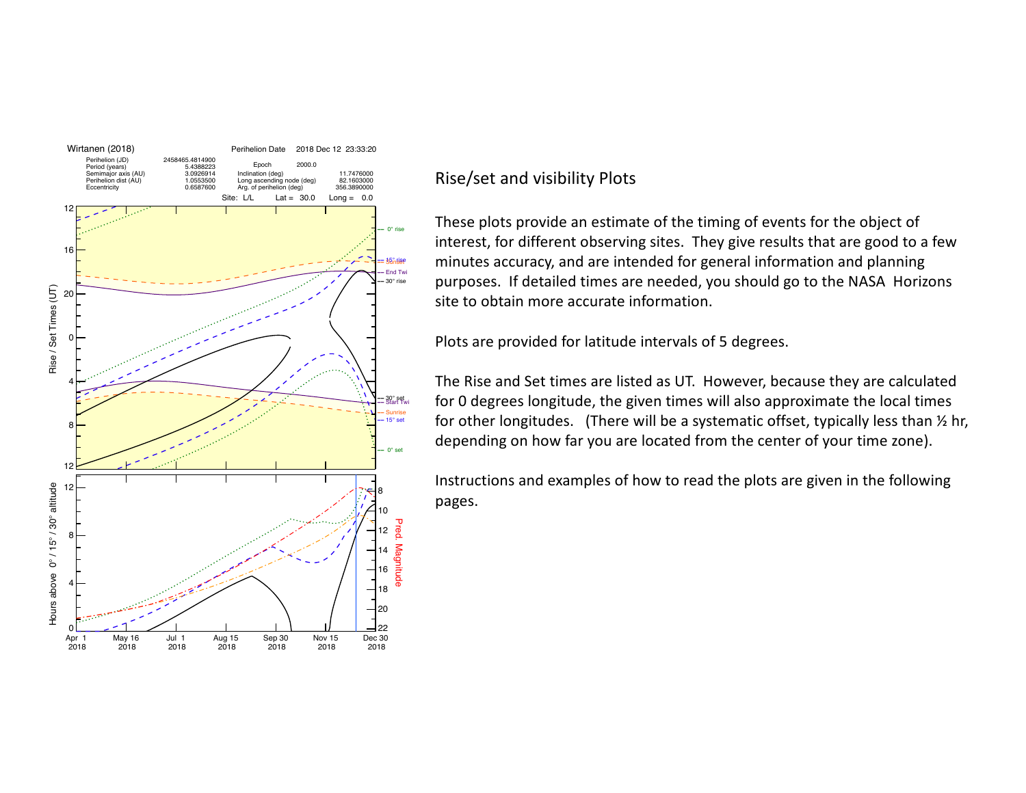

## Rise/set and visibility Plots

These plots provide an estimate of the timing of events for the object of interest, for different observing sites. They give results that are good to a few minutes accuracy, and are intended for general information and planning purposes. If detailed times are needed, you should go to the NASA Horizons site to obtain more accurate information.

Plots are provided for latitude intervals of 5 degrees.

The Rise and Set times are listed as UT. However, because they are calculated for 0 degrees longitude, the given times will also approximate the local times for other longitudes. (There will be a systematic offset, typically less than  $\frac{1}{2}$  hr, depending on how far you are located from the center of your time zone).

Instructions and examples of how to read the plots are given in the following pages.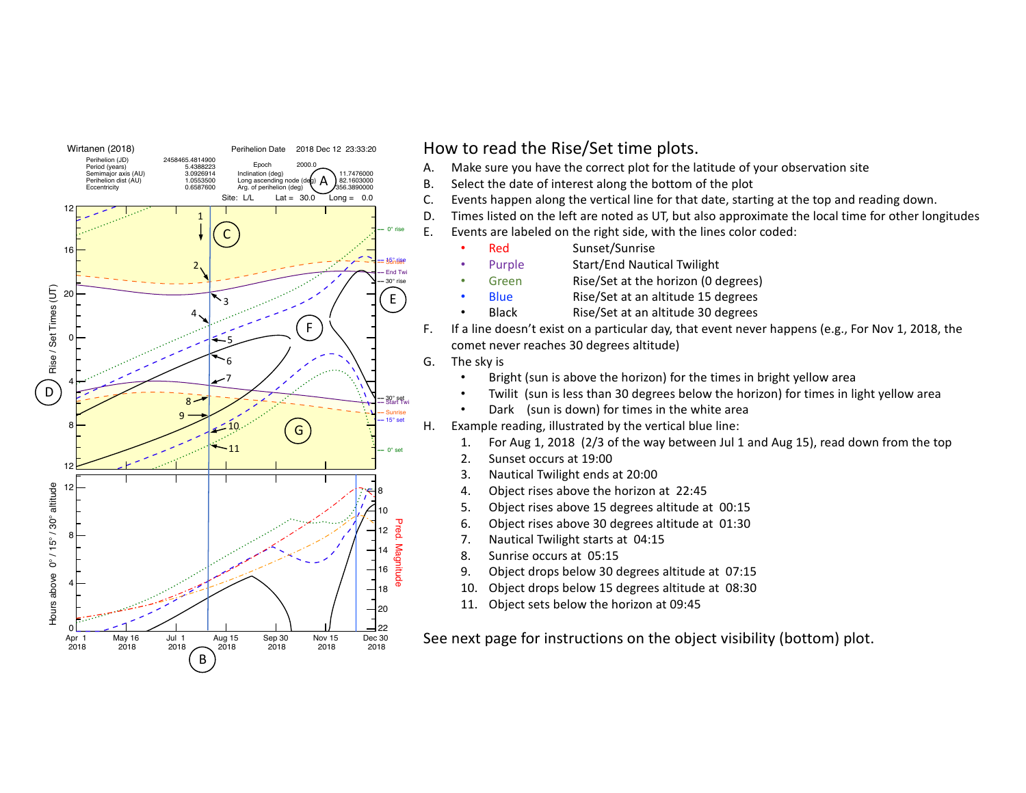

## How to read the Rise/Set time plots.

- A. Make sure you have the correct plot for the latitude of your observation site
- B. Select the date of interest along the bottom of the plot
- C. Events happen along the vertical line for that date, starting at the top and reading down.
- D. Times listed on the left are noted as UT, but also approximate the local time for other longitudes
- E. Events are labeled on the right side, with the lines color coded:
	- Red Sunset/Sunrise
	- Purple **Start/End Nautical Twilight**
	- Green Rise/Set at the horizon (0 degrees)
	- Blue Rise/Set at an altitude 15 degrees
	- Black Rise/Set at an altitude 30 degrees
- F. If a line doesn't exist on a particular day, that event never happens (e.g., For Nov 1, 2018, the comet never reaches 30 degrees altitude)
- G. The sky is
	- Bright (sun is above the horizon) for the times in bright yellow area
	- Twilit (sun is less than 30 degrees below the horizon) for times in light yellow area
	- Dark (sun is down) for times in the white area
- H. Example reading, illustrated by the vertical blue line:
	- 1. For Aug 1, 2018 (2/3 of the way between Jul 1 and Aug 15), read down from the top
	- 2. Sunset occurs at 19:00
	- 3. Nautical Twilight ends at 20:00
	- 4. Object rises above the horizon at 22:45
	- 5. Object rises above 15 degrees altitude at 00:15
	- 6. Object rises above 30 degrees altitude at 01:30
	- 7. Nautical Twilight starts at 04:15
	- 8. Sunrise occurs at 05:15
	- 9. Object drops below 30 degrees altitude at 07:15
	- 10. Object drops below 15 degrees altitude at 08:30
	- 11. Object sets below the horizon at 09:45

See next page for instructions on the object visibility (bottom) plot.